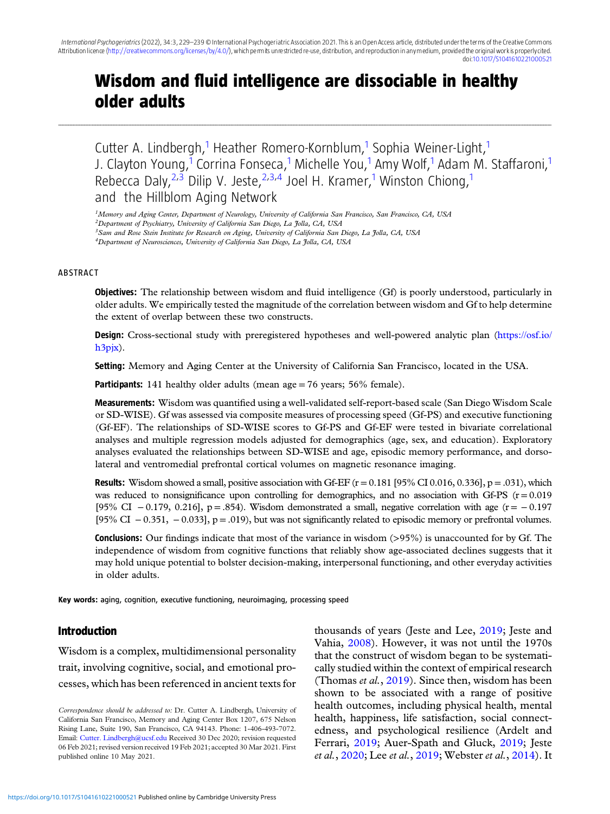# Wisdom and fluid intelligence are dissociable in healthy older adults

........................................................................................................................................................................................................................................................................................................................................................................................................................................................................................................................................................................................................................

Cutter A. Lindbergh,<sup>1</sup> Heather Romero-Kornblum,<sup>1</sup> Sophia Weiner-Light,<sup>1</sup> J. Clayton Young,<sup>1</sup> Corrina Fonseca,<sup>1</sup> Michelle You,<sup>1</sup> Amy Wolf,<sup>1</sup> Adam M. Staffaroni,<sup>1</sup> Rebecca Daly,  $2^{3}$  Dilip V. Jeste,  $2^{3}$ , Joel H. Kramer,<sup>1</sup> Winston Chiong,<sup>1</sup> and the Hillblom Aging Network

<sup>1</sup>Memory and Aging Center, Department of Neurology, University of California San Francisco, San Francisco, CA, USA

<sup>2</sup>Department of Psychiatry, University of California San Diego, La Jolla, CA, USA

3Sam and Rose Stein Institute for Research on Aging, University of California San Diego, La Jolla, CA, USA

4Department of Neurosciences, University of California San Diego, La Jolla, CA, USA

#### ABSTRACT

Objectives: The relationship between wisdom and fluid intelligence (Gf) is poorly understood, particularly in older adults. We empirically tested the magnitude of the correlation between wisdom and Gf to help determine the extent of overlap between these two constructs.

Design: Cross-sectional study with preregistered hypotheses and well-powered analytic plan ([https://osf.io/](https://osf.io/h3pjx) [h3pjx\)](https://osf.io/h3pjx).

Setting: Memory and Aging Center at the University of California San Francisco, located in the USA.

**Participants:** 141 healthy older adults (mean age  $= 76$  years; 56% female).

Measurements: Wisdom was quantified using a well-validated self-report-based scale (San Diego Wisdom Scale or SD-WISE). Gf was assessed via composite measures of processing speed (Gf-PS) and executive functioning (Gf-EF). The relationships of SD-WISE scores to Gf-PS and Gf-EF were tested in bivariate correlational analyses and multiple regression models adjusted for demographics (age, sex, and education). Exploratory analyses evaluated the relationships between SD-WISE and age, episodic memory performance, and dorsolateral and ventromedial prefrontal cortical volumes on magnetic resonance imaging.

**Results:** Wisdom showed a small, positive association with Gf-EF  $(r = 0.181]95\%$  CI 0.016, 0.336], p = .031), which was reduced to nonsignificance upon controlling for demographics, and no association with Gf-PS  $(r = 0.019)$ [95% CI  $-0.179$ , 0.216], p = .854). Wisdom demonstrated a small, negative correlation with age (r =  $-0.197$ [95% CI  $-0.351$ ,  $-0.033$ ], p = .019), but was not significantly related to episodic memory or prefrontal volumes.

Conclusions: Our findings indicate that most of the variance in wisdom (>95%) is unaccounted for by Gf. The independence of wisdom from cognitive functions that reliably show age-associated declines suggests that it may hold unique potential to bolster decision-making, interpersonal functioning, and other everyday activities in older adults.

Key words: aging, cognition, executive functioning, neuroimaging, processing speed

## Introduction

Wisdom is a complex, multidimensional personality trait, involving cognitive, social, and emotional processes, which has been referenced in ancient texts for

Correspondence should be addressed to: Dr. Cutter A. Lindbergh, University of California San Francisco, Memory and Aging Center Box 1207, 675 Nelson Rising Lane, Suite 190, San Francisco, CA 94143. Phone: 1-406-493-7072. Email: [Cutter. Lindbergh@ucsf.edu](mailto:Cutter. Lindbergh@ucsf.edu) Received 30 Dec 2020; revision requested 06 Feb 2021; revised version received 19 Feb 2021; accepted 30 Mar 2021. First published online 10 May 2021.

thousands of years (Jeste and Lee, [2019;](#page-9-0) Jeste and Vahia, [2008](#page-9-0)). However, it was not until the 1970s that the construct of wisdom began to be systematically studied within the context of empirical research (Thomas *et al.*,  $2019$ ). Since then, wisdom has been shown to be associated with a range of positive health outcomes, including physical health, mental health, happiness, life satisfaction, social connectedness, and psychological resilience (Ardelt and Ferrari, [2019](#page-8-0); Auer-Spath and Gluck, [2019;](#page-8-0) Jeste et al., [2020;](#page-9-0) Lee et al., [2019;](#page-9-0) Webster et al., [2014](#page-10-0)). It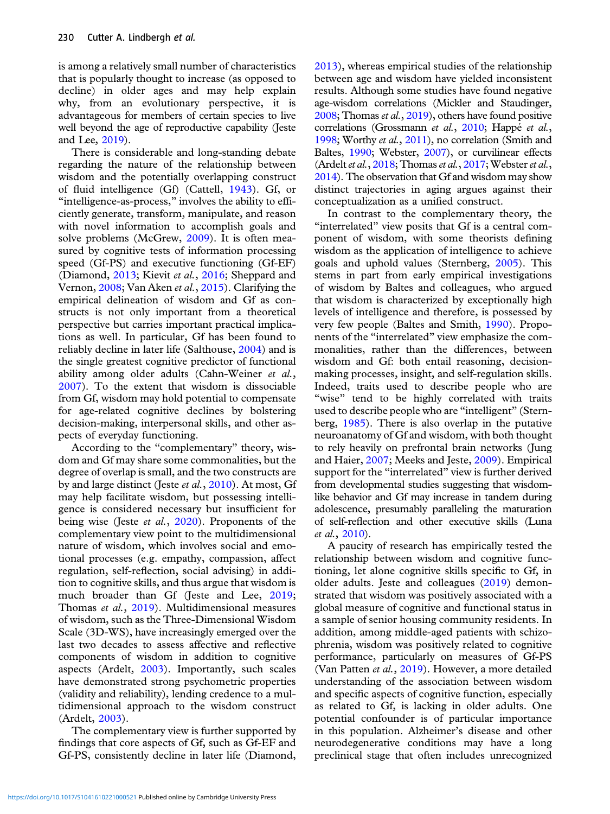is among a relatively small number of characteristics that is popularly thought to increase (as opposed to decline) in older ages and may help explain why, from an evolutionary perspective, it is advantageous for members of certain species to live well beyond the age of reproductive capability (Jeste and Lee, [2019](#page-9-0)).

There is considerable and long-standing debate regarding the nature of the relationship between wisdom and the potentially overlapping construct of fluid intelligence (Gf) (Cattell, [1943](#page-9-0)). Gf, or "intelligence-as-process," involves the ability to efficiently generate, transform, manipulate, and reason with novel information to accomplish goals and solve problems (McGrew, [2009\)](#page-9-0). It is often measured by cognitive tests of information processing speed (Gf-PS) and executive functioning (Gf-EF) (Diamond, [2013](#page-9-0); Kievit et al., [2016;](#page-9-0) Sheppard and Vernon, [2008;](#page-10-0) Van Aken et al., [2015\)](#page-10-0). Clarifying the empirical delineation of wisdom and Gf as constructs is not only important from a theoretical perspective but carries important practical implications as well. In particular, Gf has been found to reliably decline in later life (Salthouse, [2004\)](#page-10-0) and is the single greatest cognitive predictor of functional ability among older adults (Cahn-Weiner et al., [2007\)](#page-8-0). To the extent that wisdom is dissociable from Gf, wisdom may hold potential to compensate for age-related cognitive declines by bolstering decision-making, interpersonal skills, and other aspects of everyday functioning.

According to the "complementary" theory, wisdom and Gf may share some commonalities, but the degree of overlap is small, and the two constructs are by and large distinct (Jeste et al., [2010](#page-9-0)). At most, Gf may help facilitate wisdom, but possessing intelligence is considered necessary but insufficient for being wise (Jeste et al., [2020](#page-9-0)). Proponents of the complementary view point to the multidimensional nature of wisdom, which involves social and emotional processes (e.g. empathy, compassion, affect regulation, self-reflection, social advising) in addition to cognitive skills, and thus argue that wisdom is much broader than Gf (Jeste and Lee, [2019;](#page-9-0) Thomas et al., [2019\)](#page-10-0). Multidimensional measures of wisdom, such as the Three-Dimensional Wisdom Scale (3D-WS), have increasingly emerged over the last two decades to assess affective and reflective components of wisdom in addition to cognitive aspects (Ardelt, [2003\)](#page-8-0). Importantly, such scales have demonstrated strong psychometric properties (validity and reliability), lending credence to a multidimensional approach to the wisdom construct (Ardelt, [2003\)](#page-8-0).

The complementary view is further supported by findings that core aspects of Gf, such as Gf-EF and Gf-PS, consistently decline in later life (Diamond,

[2013\)](#page-9-0), whereas empirical studies of the relationship between age and wisdom have yielded inconsistent results. Although some studies have found negative age-wisdom correlations (Mickler and Staudinger, [2008;](#page-10-0) Thomas et al.,  $2019$ ), others have found positive correlations (Grossmann et al., [2010;](#page-9-0) Happé et al., [1998;](#page-9-0) Worthy et al., [2011](#page-10-0)), no correlation (Smith and Baltes, [1990;](#page-10-0) Webster, [2007\)](#page-10-0), or curvilinear effects (Ardelt et al.,  $2018$ ; Thomas et al.,  $2017$ ; Webster et al., [2014\)](#page-10-0). The observation that Gf and wisdom may show distinct trajectories in aging argues against their conceptualization as a unified construct.

In contrast to the complementary theory, the "interrelated" view posits that Gf is a central component of wisdom, with some theorists defining wisdom as the application of intelligence to achieve goals and uphold values (Sternberg, [2005](#page-10-0)). This stems in part from early empirical investigations of wisdom by Baltes and colleagues, who argued that wisdom is characterized by exceptionally high levels of intelligence and therefore, is possessed by very few people (Baltes and Smith, [1990\)](#page-8-0). Proponents of the "interrelated" view emphasize the commonalities, rather than the differences, between wisdom and Gf: both entail reasoning, decisionmaking processes, insight, and self-regulation skills. Indeed, traits used to describe people who are "wise" tend to be highly correlated with traits used to describe people who are "intelligent" (Sternberg, [1985](#page-10-0)). There is also overlap in the putative neuroanatomy of Gf and wisdom, with both thought to rely heavily on prefrontal brain networks (Jung and Haier, [2007;](#page-9-0) Meeks and Jeste, [2009\)](#page-10-0). Empirical support for the "interrelated" view is further derived from developmental studies suggesting that wisdomlike behavior and Gf may increase in tandem during adolescence, presumably paralleling the maturation of self-reflection and other executive skills (Luna et al., [2010\)](#page-9-0).

A paucity of research has empirically tested the relationship between wisdom and cognitive functioning, let alone cognitive skills specific to Gf, in older adults. Jeste and colleagues [\(2019\)](#page-9-0) demonstrated that wisdom was positively associated with a global measure of cognitive and functional status in a sample of senior housing community residents. In addition, among middle-aged patients with schizophrenia, wisdom was positively related to cognitive performance, particularly on measures of Gf-PS (Van Patten et al., [2019](#page-10-0)). However, a more detailed understanding of the association between wisdom and specific aspects of cognitive function, especially as related to Gf, is lacking in older adults. One potential confounder is of particular importance in this population. Alzheimer's disease and other neurodegenerative conditions may have a long preclinical stage that often includes unrecognized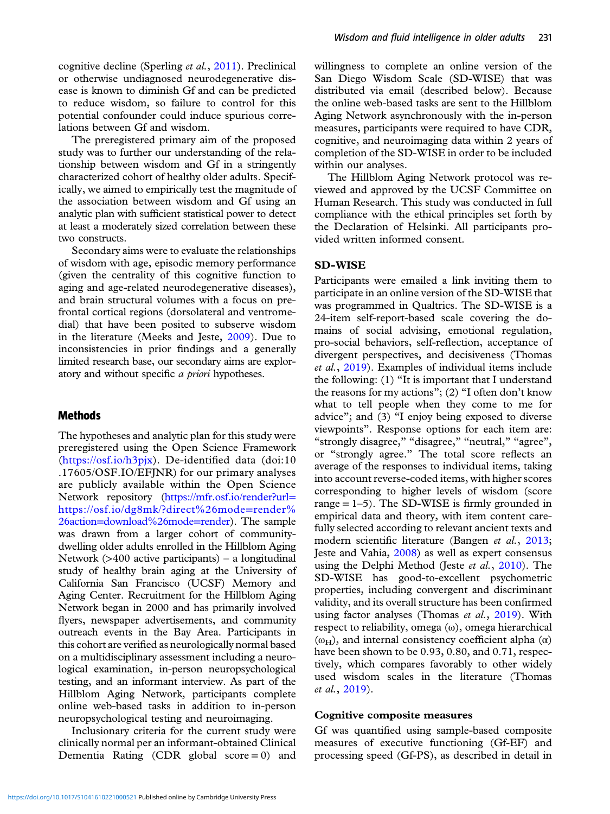cognitive decline (Sperling et al., [2011](#page-10-0)). Preclinical or otherwise undiagnosed neurodegenerative disease is known to diminish Gf and can be predicted to reduce wisdom, so failure to control for this potential confounder could induce spurious correlations between Gf and wisdom.

The preregistered primary aim of the proposed study was to further our understanding of the relationship between wisdom and Gf in a stringently characterized cohort of healthy older adults. Specifically, we aimed to empirically test the magnitude of the association between wisdom and Gf using an analytic plan with sufficient statistical power to detect at least a moderately sized correlation between these two constructs.

Secondary aims were to evaluate the relationships of wisdom with age, episodic memory performance (given the centrality of this cognitive function to aging and age-related neurodegenerative diseases), and brain structural volumes with a focus on prefrontal cortical regions (dorsolateral and ventromedial) that have been posited to subserve wisdom in the literature (Meeks and Jeste, [2009](#page-10-0)). Due to inconsistencies in prior findings and a generally limited research base, our secondary aims are exploratory and without specific *a priori* hypotheses.

## Methods

The hypotheses and analytic plan for this study were preregistered using the Open Science Framework (<https://osf.io/h3pjx>). De-identified data (doi:10 .17605/OSF.IO/EFJNR) for our primary analyses are publicly available within the Open Science Network repository [\(https://mfr.osf.io/render?url](https://mfr.osf.io/render?url%3dhttps://osf.io/dg8mk/?direct%26mode%3drender%26action%3ddownload%26mode%3drender)= [https://osf.io/dg8mk/?direct%26mode](https://mfr.osf.io/render?url%3dhttps://osf.io/dg8mk/?direct%26mode%3drender%26action%3ddownload%26mode%3drender)=[render%](https://mfr.osf.io/render?url%3dhttps://osf.io/dg8mk/?direct%26mode%3drender%26action%3ddownload%26mode%3drender) [26action](https://mfr.osf.io/render?url%3dhttps://osf.io/dg8mk/?direct%26mode%3drender%26action%3ddownload%26mode%3drender)=[download%26mode](https://mfr.osf.io/render?url%3dhttps://osf.io/dg8mk/?direct%26mode%3drender%26action%3ddownload%26mode%3drender)=[render](https://mfr.osf.io/render?url%3dhttps://osf.io/dg8mk/?direct%26mode%3drender%26action%3ddownload%26mode%3drender)). The sample was drawn from a larger cohort of communitydwelling older adults enrolled in the Hillblom Aging Network  $($ >400 active participants $)$  – a longitudinal study of healthy brain aging at the University of California San Francisco (UCSF) Memory and Aging Center. Recruitment for the Hillblom Aging Network began in 2000 and has primarily involved flyers, newspaper advertisements, and community outreach events in the Bay Area. Participants in this cohort are verified as neurologically normal based on a multidisciplinary assessment including a neurological examination, in-person neuropsychological testing, and an informant interview. As part of the Hillblom Aging Network, participants complete online web-based tasks in addition to in-person neuropsychological testing and neuroimaging.

Inclusionary criteria for the current study were clinically normal per an informant-obtained Clinical Dementia Rating (CDR global  $score = 0$ ) and willingness to complete an online version of the San Diego Wisdom Scale (SD-WISE) that was distributed via email (described below). Because the online web-based tasks are sent to the Hillblom Aging Network asynchronously with the in-person measures, participants were required to have CDR, cognitive, and neuroimaging data within 2 years of completion of the SD-WISE in order to be included within our analyses.

The Hillblom Aging Network protocol was reviewed and approved by the UCSF Committee on Human Research. This study was conducted in full compliance with the ethical principles set forth by the Declaration of Helsinki. All participants provided written informed consent.

## SD-WISE

Participants were emailed a link inviting them to participate in an online version of the SD-WISE that was programmed in Qualtrics. The SD-WISE is a 24-item self-report-based scale covering the domains of social advising, emotional regulation, pro-social behaviors, self-reflection, acceptance of divergent perspectives, and decisiveness (Thomas et al., [2019](#page-10-0)). Examples of individual items include the following: (1) "It is important that I understand the reasons for my actions"; (2) "I often don't know what to tell people when they come to me for advice"; and (3) "I enjoy being exposed to diverse viewpoints". Response options for each item are: "strongly disagree," "disagree," "neutral," "agree", or "strongly agree." The total score reflects an average of the responses to individual items, taking into account reverse-coded items, with higher scores corresponding to higher levels of wisdom (score range  $= 1-5$ ). The SD-WISE is firmly grounded in empirical data and theory, with item content carefully selected according to relevant ancient texts and modern scientific literature (Bangen et al., [2013;](#page-8-0) Jeste and Vahia, [2008\)](#page-9-0) as well as expert consensus using the Delphi Method (Jeste et al., [2010](#page-9-0)). The SD-WISE has good-to-excellent psychometric properties, including convergent and discriminant validity, and its overall structure has been confirmed using factor analyses (Thomas *et al.*, [2019](#page-10-0)). With respect to reliability, omega (ω), omega hierarchical ( $ω$ <sub>H</sub>), and internal consistency coefficient alpha ( $α$ ) have been shown to be 0.93, 0.80, and 0.71, respectively, which compares favorably to other widely used wisdom scales in the literature (Thomas et al., [2019\)](#page-10-0).

## Cognitive composite measures

Gf was quantified using sample-based composite measures of executive functioning (Gf-EF) and processing speed (Gf-PS), as described in detail in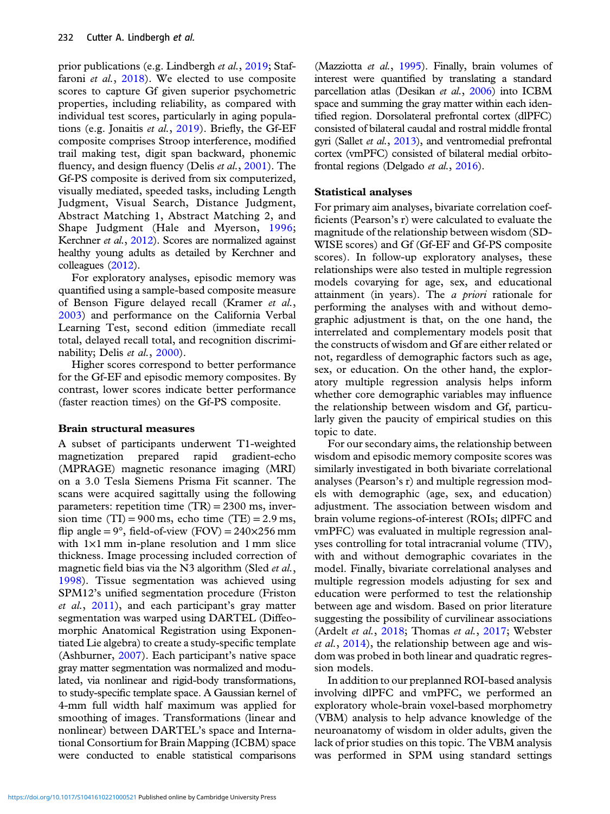prior publications (e.g. Lindbergh et al., [2019;](#page-9-0) Staf-faroni et al., [2018](#page-10-0)). We elected to use composite scores to capture Gf given superior psychometric properties, including reliability, as compared with individual test scores, particularly in aging populations (e.g. Jonaitis et al., [2019\)](#page-9-0). Briefly, the Gf-EF composite comprises Stroop interference, modified trail making test, digit span backward, phonemic fluency, and design fluency (Delis et al., [2001\)](#page-9-0). The Gf-PS composite is derived from six computerized, visually mediated, speeded tasks, including Length Judgment, Visual Search, Distance Judgment, Abstract Matching 1, Abstract Matching 2, and Shape Judgment (Hale and Myerson, [1996;](#page-9-0) Kerchner et al., [2012](#page-9-0)). Scores are normalized against healthy young adults as detailed by Kerchner and colleagues [\(2012](#page-9-0)).

For exploratory analyses, episodic memory was quantified using a sample-based composite measure of Benson Figure delayed recall (Kramer et al., [2003\)](#page-9-0) and performance on the California Verbal Learning Test, second edition (immediate recall total, delayed recall total, and recognition discrimi-nability; Delis et al., [2000\)](#page-9-0).

Higher scores correspond to better performance for the Gf-EF and episodic memory composites. By contrast, lower scores indicate better performance (faster reaction times) on the Gf-PS composite.

## Brain structural measures

A subset of participants underwent T1-weighted magnetization prepared rapid gradient-echo (MPRAGE) magnetic resonance imaging (MRI) on a 3.0 Tesla Siemens Prisma Fit scanner. The scans were acquired sagittally using the following parameters: repetition time  $(TR) = 2300$  ms, inversion time  $(TI) = 900$  ms, echo time  $(TE) = 2.9$  ms, flip angle =  $9^\circ$ , field-of-view (FOV) =  $240\times256$  mm with  $1\times1$  mm in-plane resolution and  $1$  mm slice thickness. Image processing included correction of magnetic field bias via the N3 algorithm (Sled *et al.*, [1998\)](#page-10-0). Tissue segmentation was achieved using SPM12's unified segmentation procedure (Friston et al., [2011](#page-9-0)), and each participant's gray matter segmentation was warped using DARTEL (Diffeomorphic Anatomical Registration using Exponentiated Lie algebra) to create a study-specific template (Ashburner, [2007](#page-8-0)). Each participant's native space gray matter segmentation was normalized and modulated, via nonlinear and rigid-body transformations, to study-specific template space. A Gaussian kernel of 4-mm full width half maximum was applied for smoothing of images. Transformations (linear and nonlinear) between DARTEL's space and International Consortium for Brain Mapping (ICBM) space were conducted to enable statistical comparisons

(Mazziotta et al., [1995](#page-9-0)). Finally, brain volumes of interest were quantified by translating a standard parcellation atlas (Desikan et al., [2006](#page-9-0)) into ICBM space and summing the gray matter within each identified region. Dorsolateral prefrontal cortex (dlPFC) consisted of bilateral caudal and rostral middle frontal gyri (Sallet et al., [2013](#page-10-0)), and ventromedial prefrontal cortex (vmPFC) consisted of bilateral medial orbitofrontal regions (Delgado et al., [2016](#page-9-0)).

## Statistical analyses

For primary aim analyses, bivariate correlation coefficients (Pearson's r) were calculated to evaluate the magnitude of the relationship between wisdom (SD-WISE scores) and Gf (Gf-EF and Gf-PS composite scores). In follow-up exploratory analyses, these relationships were also tested in multiple regression models covarying for age, sex, and educational attainment (in years). The  $a$  priori rationale for performing the analyses with and without demographic adjustment is that, on the one hand, the interrelated and complementary models posit that the constructs of wisdom and Gf are either related or not, regardless of demographic factors such as age, sex, or education. On the other hand, the exploratory multiple regression analysis helps inform whether core demographic variables may influence the relationship between wisdom and Gf, particularly given the paucity of empirical studies on this topic to date.

For our secondary aims, the relationship between wisdom and episodic memory composite scores was similarly investigated in both bivariate correlational analyses (Pearson's r) and multiple regression models with demographic (age, sex, and education) adjustment. The association between wisdom and brain volume regions-of-interest (ROIs; dlPFC and vmPFC) was evaluated in multiple regression analyses controlling for total intracranial volume (TIV), with and without demographic covariates in the model. Finally, bivariate correlational analyses and multiple regression models adjusting for sex and education were performed to test the relationship between age and wisdom. Based on prior literature suggesting the possibility of curvilinear associations (Ardelt et al., [2018;](#page-8-0) Thomas et al., [2017;](#page-10-0) Webster et al., [2014](#page-10-0)), the relationship between age and wisdom was probed in both linear and quadratic regression models.

In addition to our preplanned ROI-based analysis involving dlPFC and vmPFC, we performed an exploratory whole-brain voxel-based morphometry (VBM) analysis to help advance knowledge of the neuroanatomy of wisdom in older adults, given the lack of prior studies on this topic. The VBM analysis was performed in SPM using standard settings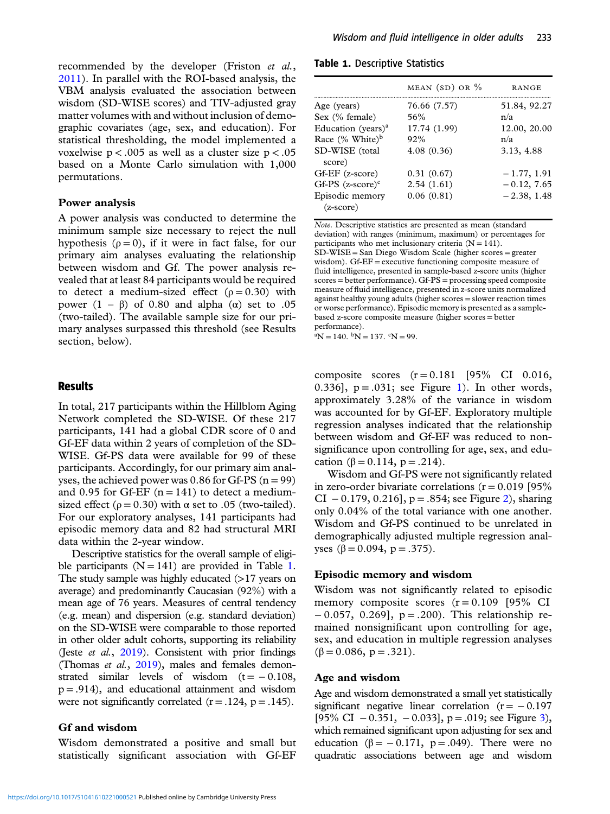recommended by the developer (Friston et al., [2011\)](#page-9-0). In parallel with the ROI-based analysis, the VBM analysis evaluated the association between wisdom (SD-WISE scores) and TIV-adjusted gray matter volumes with and without inclusion of demographic covariates (age, sex, and education). For statistical thresholding, the model implemented a voxelwise  $p < .005$  as well as a cluster size  $p < .05$ based on a Monte Carlo simulation with 1,000 permutations.

#### Power analysis

A power analysis was conducted to determine the minimum sample size necessary to reject the null hypothesis ( $\rho = 0$ ), if it were in fact false, for our primary aim analyses evaluating the relationship between wisdom and Gf. The power analysis revealed that at least 84 participants would be required to detect a medium-sized effect  $(p = 0.30)$  with power  $(1 - \beta)$  of 0.80 and alpha (α) set to .05 (two-tailed). The available sample size for our primary analyses surpassed this threshold (see Results section, below).

## Results

In total, 217 participants within the Hillblom Aging Network completed the SD-WISE. Of these 217 participants, 141 had a global CDR score of 0 and Gf-EF data within 2 years of completion of the SD-WISE. Gf-PS data were available for 99 of these participants. Accordingly, for our primary aim analyses, the achieved power was  $0.86$  for Gf-PS ( $n = 99$ ) and 0.95 for Gf-EF  $(n = 141)$  to detect a mediumsized effect ( $\rho = 0.30$ ) with  $\alpha$  set to .05 (two-tailed). For our exploratory analyses, 141 participants had episodic memory data and 82 had structural MRI data within the 2-year window.

Descriptive statistics for the overall sample of eligible participants  $(N = 141)$  are provided in Table 1. The study sample was highly educated  $(>17$  years on average) and predominantly Caucasian (92%) with a mean age of 76 years. Measures of central tendency (e.g. mean) and dispersion (e.g. standard deviation) on the SD-WISE were comparable to those reported in other older adult cohorts, supporting its reliability (Jeste et al., [2019](#page-9-0)). Consistent with prior findings (Thomas et al., [2019\)](#page-10-0), males and females demonstrated similar levels of wisdom  $(t = -0.108$ ,  $p = .914$ ), and educational attainment and wisdom were not significantly correlated  $(r = .124, p = .145)$ .

## Gf and wisdom

Wisdom demonstrated a positive and small but statistically significant association with Gf-EF

Table 1. Descriptive Statistics

|                                       | MEAN $(SD)$ OR $%$ | RANGE         |
|---------------------------------------|--------------------|---------------|
| Age (years)                           | 76.66 (7.57)       | 51.84, 92.27  |
| Sex (% female)                        | 56%                | n/a           |
| Education (years) <sup>a</sup>        | 17.74 (1.99)       | 12.00, 20.00  |
| Race (% White) <sup>b</sup>           | 92%                | n/a           |
| SD-WISE (total<br>score)              | 4.08(0.36)         | 3.13, 4.88    |
| Gf-EF (z-score)                       | 0.31(0.67)         | $-1.77, 1.91$ |
| Gf-PS $(z\text{-score})^c$            | 2.54(1.61)         | $-0.12, 7.65$ |
| Episodic memory<br>$(z\text{-score})$ | 0.06(0.81)         | $-2.38, 1.48$ |

Note. Descriptive statistics are presented as mean (standard deviation) with ranges (minimum, maximum) or percentages for participants who met inclusionary criteria  $(N = 141)$ . SD-WISE = San Diego Wisdom Scale (higher scores = greater wisdom). Gf-EF = executive functioning composite measure of fluid intelligence, presented in sample-based z-score units (higher scores = better performance). Gf-PS = processing speed composite measure of fluid intelligence, presented in z-score units normalized against healthy young adults (higher scores = slower reaction times or worse performance). Episodic memory is presented as a samplebased z-score composite measure (higher scores = better performance).

 ${}^{\textrm{a}}$ N = 140.  ${}^{\textrm{b}}$ N = 137.  ${}^{\textrm{c}}$ N = 99.

composite scores  $(r = 0.181$  [95% CI 0.016, 0.336],  $p = .031$  $p = .031$ ; see Figure 1). In other words, approximately 3.28% of the variance in wisdom was accounted for by Gf-EF. Exploratory multiple regression analyses indicated that the relationship between wisdom and Gf-EF was reduced to nonsignificance upon controlling for age, sex, and education (β = 0.114, p = .214).

Wisdom and Gf-PS were not significantly related in zero-order bivariate correlations  $(r = 0.019)$  [95%] CI  $-0.179, 0.216$ , p = .854; see Figure [2\)](#page-5-0), sharing only 0.04% of the total variance with one another. Wisdom and Gf-PS continued to be unrelated in demographically adjusted multiple regression analyses (β = 0.094, p = .375).

## Episodic memory and wisdom

Wisdom was not significantly related to episodic memory composite scores  $(r = 0.109)$  [95% CI] − 0.057, 0.269], p = .200). This relationship remained nonsignificant upon controlling for age, sex, and education in multiple regression analyses  $(\beta = 0.086, p = .321).$ 

#### Age and wisdom

Age and wisdom demonstrated a small yet statistically significant negative linear correlation  $(r = -0.197)$ [95% CI  $-0.351$  $-0.351$  $-0.351$ ,  $-0.033$ ], p = .019; see Figure 3), which remained significant upon adjusting for sex and education ( $\beta$  = -0.171, p = .049). There were no quadratic associations between age and wisdom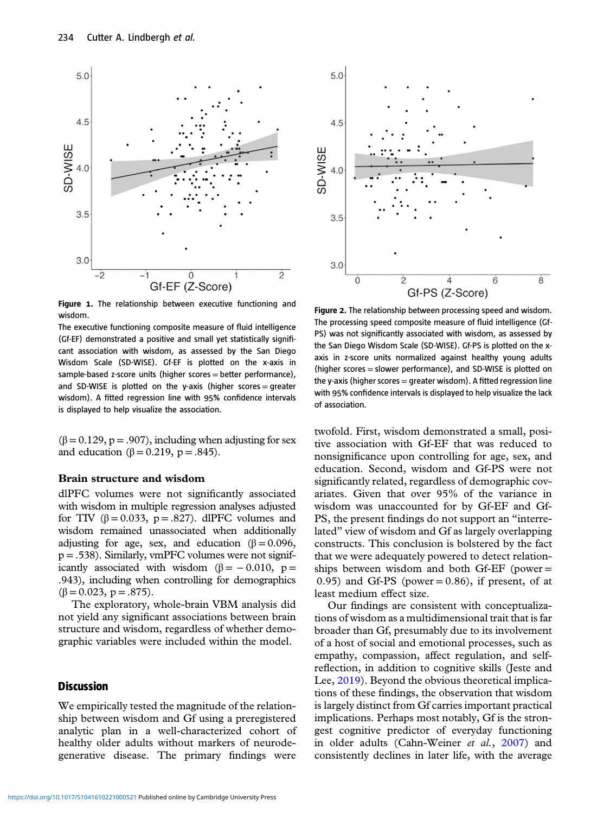<span id="page-5-0"></span>

Figure 1. The relationship between executive functioning and wisdom.

The executive functioning composite measure of fluid intelligence (Gf-EF) demonstrated a positive and small yet statistically significant association with wisdom, as assessed by the San Diego Wisdom Scale (SD-WISE). Gf-EF is plotted on the x-axis in sample-based z-score units (higher scores = better performance), and SD-WISE is plotted on the y-axis (higher scores = greater wisdom). A fitted regression line with 95% confidence intervals is displayed to help visualize the association.

 $(\beta = 0.129, p = .907)$ , including when adjusting for sex and education (β = 0.219, p = .845).

#### Brain structure and wisdom

dlPFC volumes were not significantly associated with wisdom in multiple regression analyses adjusted for TIV ( $\beta = 0.033$ ,  $p = .827$ ). dlPFC volumes and wisdom remained unassociated when additionally adjusting for age, sex, and education ( $\beta = 0.096$ ,  $p = .538$ ). Similarly, vmPFC volumes were not significantly associated with wisdom ( $\beta$  = − 0.010, p = .943), including when controlling for demographics  $(\beta = 0.023, p = .875).$ 

The exploratory, whole-brain VBM analysis did not yield any significant associations between brain structure and wisdom, regardless of whether demographic variables were included within the model.

## **Discussion**

We empirically tested the magnitude of the relationship between wisdom and Gf using a preregistered analytic plan in a well-characterized cohort of healthy older adults without markers of neurodegenerative disease. The primary findings were



Figure 2. The relationship between processing speed and wisdom. The processing speed composite measure of fluid intelligence (Gf-PS) was not significantly associated with wisdom, as assessed by the San Diego Wisdom Scale (SD-WISE). Gf-PS is plotted on the xaxis in z-score units normalized against healthy young adults (higher scores = slower performance), and SD-WISE is plotted on the y-axis (higher scores  $=$  greater wisdom). A fitted regression line with 95% confidence intervals is displayed to help visualize the lack of association.

twofold. First, wisdom demonstrated a small, positive association with Gf-EF that was reduced to nonsignificance upon controlling for age, sex, and education. Second, wisdom and Gf-PS were not significantly related, regardless of demographic covariates. Given that over 95% of the variance in wisdom was unaccounted for by Gf-EF and Gf-PS, the present findings do not support an "interrelated" view of wisdom and Gf as largely overlapping constructs. This conclusion is bolstered by the fact that we were adequately powered to detect relationships between wisdom and both Gf-EF (power = 0.95) and Gf-PS (power =  $0.86$ ), if present, of at least medium effect size.

Our findings are consistent with conceptualizations of wisdom as a multidimensional trait that is far broader than Gf, presumably due to its involvement of a host of social and emotional processes, such as empathy, compassion, affect regulation, and selfreflection, in addition to cognitive skills (Jeste and Lee, [2019\)](#page-9-0). Beyond the obvious theoretical implications of these findings, the observation that wisdom is largely distinct from Gf carries important practical implications. Perhaps most notably, Gf is the strongest cognitive predictor of everyday functioning in older adults (Cahn-Weiner et al., [2007](#page-8-0)) and consistently declines in later life, with the average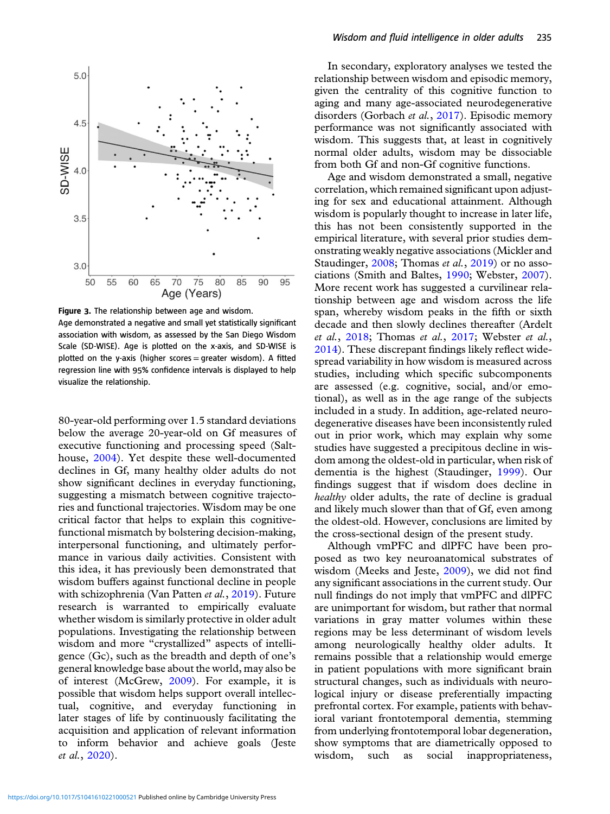<span id="page-6-0"></span>

Figure 3. The relationship between age and wisdom.

Age demonstrated a negative and small yet statistically significant association with wisdom, as assessed by the San Diego Wisdom Scale (SD-WISE). Age is plotted on the x-axis, and SD-WISE is plotted on the y-axis (higher scores = greater wisdom). A fitted regression line with 95% confidence intervals is displayed to help visualize the relationship.

80-year-old performing over 1.5 standard deviations below the average 20-year-old on Gf measures of executive functioning and processing speed (Salthouse, [2004\)](#page-10-0). Yet despite these well-documented declines in Gf, many healthy older adults do not show significant declines in everyday functioning, suggesting a mismatch between cognitive trajectories and functional trajectories. Wisdom may be one critical factor that helps to explain this cognitivefunctional mismatch by bolstering decision-making, interpersonal functioning, and ultimately performance in various daily activities. Consistent with this idea, it has previously been demonstrated that wisdom buffers against functional decline in people with schizophrenia (Van Patten et al., [2019\)](#page-10-0). Future research is warranted to empirically evaluate whether wisdom is similarly protective in older adult populations. Investigating the relationship between wisdom and more "crystallized" aspects of intelligence (Gc), such as the breadth and depth of one's general knowledge base about the world, may also be of interest (McGrew, [2009\)](#page-9-0). For example, it is possible that wisdom helps support overall intellectual, cognitive, and everyday functioning in later stages of life by continuously facilitating the acquisition and application of relevant information to inform behavior and achieve goals (Jeste et al., [2020\)](#page-9-0).

In secondary, exploratory analyses we tested the relationship between wisdom and episodic memory, given the centrality of this cognitive function to aging and many age-associated neurodegenerative disorders (Gorbach et al., [2017\)](#page-9-0). Episodic memory performance was not significantly associated with wisdom. This suggests that, at least in cognitively normal older adults, wisdom may be dissociable from both Gf and non-Gf cognitive functions.

Age and wisdom demonstrated a small, negative correlation, which remained significant upon adjusting for sex and educational attainment. Although wisdom is popularly thought to increase in later life, this has not been consistently supported in the empirical literature, with several prior studies demonstrating weakly negative associations (Mickler and Staudinger, [2008](#page-10-0); Thomas et al., [2019\)](#page-10-0) or no associations (Smith and Baltes, [1990](#page-10-0); Webster, [2007](#page-10-0)). More recent work has suggested a curvilinear relationship between age and wisdom across the life span, whereby wisdom peaks in the fifth or sixth decade and then slowly declines thereafter (Ardelt et al., [2018](#page-8-0); Thomas et al., [2017](#page-10-0); Webster et al., [2014\)](#page-10-0). These discrepant findings likely reflect widespread variability in how wisdom is measured across studies, including which specific subcomponents are assessed (e.g. cognitive, social, and/or emotional), as well as in the age range of the subjects included in a study. In addition, age-related neurodegenerative diseases have been inconsistently ruled out in prior work, which may explain why some studies have suggested a precipitous decline in wisdom among the oldest-old in particular, when risk of dementia is the highest (Staudinger, [1999](#page-10-0)). Our findings suggest that if wisdom does decline in healthy older adults, the rate of decline is gradual and likely much slower than that of Gf, even among the oldest-old. However, conclusions are limited by the cross-sectional design of the present study.

Although vmPFC and dlPFC have been proposed as two key neuroanatomical substrates of wisdom (Meeks and Jeste, [2009\)](#page-10-0), we did not find any significant associations in the current study. Our null findings do not imply that vmPFC and dlPFC are unimportant for wisdom, but rather that normal variations in gray matter volumes within these regions may be less determinant of wisdom levels among neurologically healthy older adults. It remains possible that a relationship would emerge in patient populations with more significant brain structural changes, such as individuals with neurological injury or disease preferentially impacting prefrontal cortex. For example, patients with behavioral variant frontotemporal dementia, stemming from underlying frontotemporal lobar degeneration, show symptoms that are diametrically opposed to wisdom, such as social inappropriateness,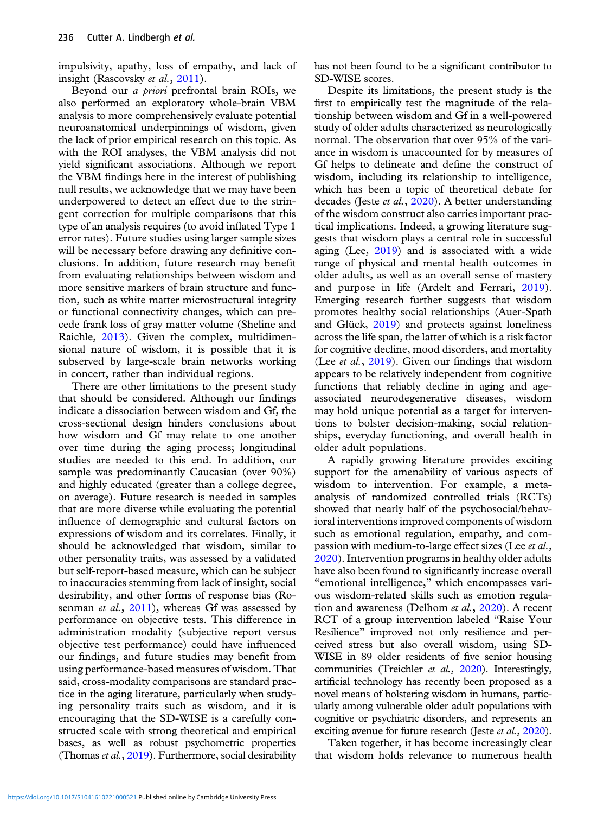impulsivity, apathy, loss of empathy, and lack of insight (Rascovsky et al., [2011](#page-10-0)).

Beyond our a priori prefrontal brain ROIs, we also performed an exploratory whole-brain VBM analysis to more comprehensively evaluate potential neuroanatomical underpinnings of wisdom, given the lack of prior empirical research on this topic. As with the ROI analyses, the VBM analysis did not yield significant associations. Although we report the VBM findings here in the interest of publishing null results, we acknowledge that we may have been underpowered to detect an effect due to the stringent correction for multiple comparisons that this type of an analysis requires (to avoid inflated Type 1 error rates). Future studies using larger sample sizes will be necessary before drawing any definitive conclusions. In addition, future research may benefit from evaluating relationships between wisdom and more sensitive markers of brain structure and function, such as white matter microstructural integrity or functional connectivity changes, which can precede frank loss of gray matter volume (Sheline and Raichle, [2013\)](#page-10-0). Given the complex, multidimensional nature of wisdom, it is possible that it is subserved by large-scale brain networks working in concert, rather than individual regions.

There are other limitations to the present study that should be considered. Although our findings indicate a dissociation between wisdom and Gf, the cross-sectional design hinders conclusions about how wisdom and Gf may relate to one another over time during the aging process; longitudinal studies are needed to this end. In addition, our sample was predominantly Caucasian (over 90%) and highly educated (greater than a college degree, on average). Future research is needed in samples that are more diverse while evaluating the potential influence of demographic and cultural factors on expressions of wisdom and its correlates. Finally, it should be acknowledged that wisdom, similar to other personality traits, was assessed by a validated but self-report-based measure, which can be subject to inaccuracies stemming from lack of insight, social desirability, and other forms of response bias (Ro-senman et al., [2011](#page-10-0)), whereas Gf was assessed by performance on objective tests. This difference in administration modality (subjective report versus objective test performance) could have influenced our findings, and future studies may benefit from using performance-based measures of wisdom. That said, cross-modality comparisons are standard practice in the aging literature, particularly when studying personality traits such as wisdom, and it is encouraging that the SD-WISE is a carefully constructed scale with strong theoretical and empirical bases, as well as robust psychometric properties (Thomas et al., [2019\)](#page-10-0). Furthermore, social desirability has not been found to be a significant contributor to SD-WISE scores.

Despite its limitations, the present study is the first to empirically test the magnitude of the relationship between wisdom and Gf in a well-powered study of older adults characterized as neurologically normal. The observation that over 95% of the variance in wisdom is unaccounted for by measures of Gf helps to delineate and define the construct of wisdom, including its relationship to intelligence, which has been a topic of theoretical debate for decades (Jeste et al., [2020\)](#page-9-0). A better understanding of the wisdom construct also carries important practical implications. Indeed, a growing literature suggests that wisdom plays a central role in successful aging (Lee, [2019](#page-9-0)) and is associated with a wide range of physical and mental health outcomes in older adults, as well as an overall sense of mastery and purpose in life (Ardelt and Ferrari, [2019](#page-8-0)). Emerging research further suggests that wisdom promotes healthy social relationships (Auer-Spath and Glück, [2019\)](#page-8-0) and protects against loneliness across the life span, the latter of which is a risk factor for cognitive decline, mood disorders, and mortality (Lee et al., [2019](#page-9-0)). Given our findings that wisdom appears to be relatively independent from cognitive functions that reliably decline in aging and ageassociated neurodegenerative diseases, wisdom may hold unique potential as a target for interventions to bolster decision-making, social relationships, everyday functioning, and overall health in older adult populations.

A rapidly growing literature provides exciting support for the amenability of various aspects of wisdom to intervention. For example, a metaanalysis of randomized controlled trials (RCTs) showed that nearly half of the psychosocial/behavioral interventions improved components of wisdom such as emotional regulation, empathy, and compassion with medium-to-large effect sizes (Lee *et al.*, [2020\)](#page-9-0). Intervention programs in healthy older adults have also been found to significantly increase overall "emotional intelligence," which encompasses various wisdom-related skills such as emotion regula-tion and awareness (Delhom et al., [2020](#page-9-0)). A recent RCT of a group intervention labeled "Raise Your Resilience" improved not only resilience and perceived stress but also overall wisdom, using SD-WISE in 89 older residents of five senior housing communities (Treichler et al., [2020](#page-10-0)). Interestingly, artificial technology has recently been proposed as a novel means of bolstering wisdom in humans, particularly among vulnerable older adult populations with cognitive or psychiatric disorders, and represents an exciting avenue for future research (Jeste et al., [2020](#page-9-0)).

Taken together, it has become increasingly clear that wisdom holds relevance to numerous health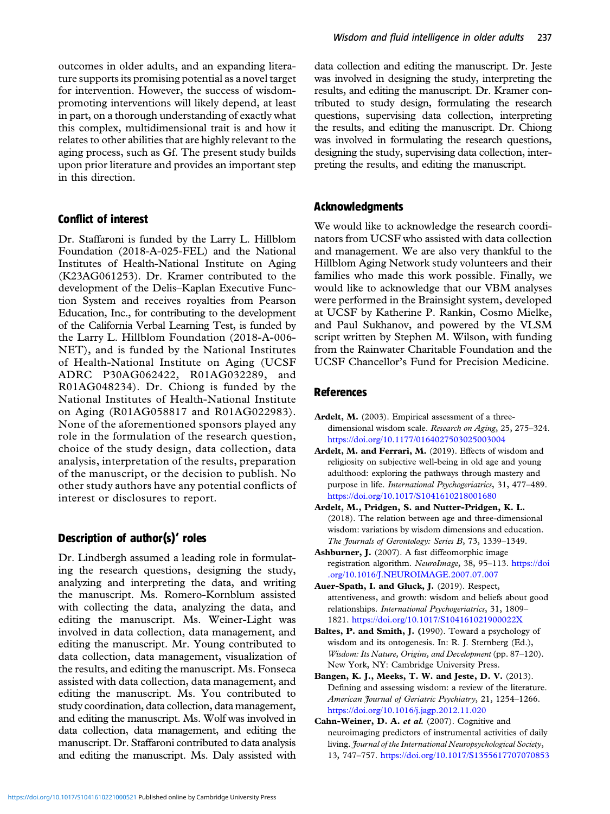<span id="page-8-0"></span>outcomes in older adults, and an expanding literature supports its promising potential as a novel target for intervention. However, the success of wisdompromoting interventions will likely depend, at least in part, on a thorough understanding of exactly what this complex, multidimensional trait is and how it relates to other abilities that are highly relevant to the aging process, such as Gf. The present study builds upon prior literature and provides an important step in this direction.

## Conflict of interest

Dr. Staffaroni is funded by the Larry L. Hillblom Foundation (2018-A-025-FEL) and the National Institutes of Health-National Institute on Aging (K23AG061253). Dr. Kramer contributed to the development of the Delis–Kaplan Executive Function System and receives royalties from Pearson Education, Inc., for contributing to the development of the California Verbal Learning Test, is funded by the Larry L. Hillblom Foundation (2018-A-006- NET), and is funded by the National Institutes of Health-National Institute on Aging (UCSF ADRC P30AG062422, R01AG032289, and R01AG048234). Dr. Chiong is funded by the National Institutes of Health-National Institute on Aging (R01AG058817 and R01AG022983). None of the aforementioned sponsors played any role in the formulation of the research question, choice of the study design, data collection, data analysis, interpretation of the results, preparation of the manuscript, or the decision to publish. No other study authors have any potential conflicts of interest or disclosures to report.

## Description of author(s)' roles

Dr. Lindbergh assumed a leading role in formulating the research questions, designing the study, analyzing and interpreting the data, and writing the manuscript. Ms. Romero-Kornblum assisted with collecting the data, analyzing the data, and editing the manuscript. Ms. Weiner-Light was involved in data collection, data management, and editing the manuscript. Mr. Young contributed to data collection, data management, visualization of the results, and editing the manuscript. Ms. Fonseca assisted with data collection, data management, and editing the manuscript. Ms. You contributed to study coordination, data collection, data management, and editing the manuscript. Ms. Wolf was involved in data collection, data management, and editing the manuscript. Dr. Staffaroni contributed to data analysis and editing the manuscript. Ms. Daly assisted with

data collection and editing the manuscript. Dr. Jeste was involved in designing the study, interpreting the results, and editing the manuscript. Dr. Kramer contributed to study design, formulating the research questions, supervising data collection, interpreting the results, and editing the manuscript. Dr. Chiong was involved in formulating the research questions, designing the study, supervising data collection, interpreting the results, and editing the manuscript.

## Acknowledgments

We would like to acknowledge the research coordinators from UCSF who assisted with data collection and management. We are also very thankful to the Hillblom Aging Network study volunteers and their families who made this work possible. Finally, we would like to acknowledge that our VBM analyses were performed in the Brainsight system, developed at UCSF by Katherine P. Rankin, Cosmo Mielke, and Paul Sukhanov, and powered by the VLSM script written by Stephen M. Wilson, with funding from the Rainwater Charitable Foundation and the UCSF Chancellor's Fund for Precision Medicine.

## References

- Ardelt, M. (2003). Empirical assessment of a threedimensional wisdom scale. Research on Aging, 25, 275–324. <https://doi.org/10.1177/0164027503025003004>
- Ardelt, M. and Ferrari, M. (2019). Effects of wisdom and religiosity on subjective well-being in old age and young adulthood: exploring the pathways through mastery and purpose in life. International Psychogeriatrics, 31, 477–489. <https://doi.org/10.1017/S1041610218001680>
- Ardelt, M., Pridgen, S. and Nutter-Pridgen, K. L. (2018). The relation between age and three-dimensional wisdom: variations by wisdom dimensions and education. The Journals of Gerontology: Series B, 73, 1339–1349.
- Ashburner, J. (2007). A fast diffeomorphic image registration algorithm. NeuroImage, 38, 95–113. [https://doi](https://doi.org/10.1016/J.NEUROIMAGE.2007.07.007) [.org/10.1016/J.NEUROIMAGE.2007.07.007](https://doi.org/10.1016/J.NEUROIMAGE.2007.07.007)
- Auer-Spath, I. and Gluck, J. (2019). Respect, attentiveness, and growth: wisdom and beliefs about good relationships. International Psychogeriatrics, 31, 1809– 1821. <https://doi.org/10.1017/S104161021900022X>
- Baltes, P. and Smith, J. (1990). Toward a psychology of wisdom and its ontogenesis. In: R. J. Sternberg (Ed.), Wisdom: Its Nature, Origins, and Development (pp. 87–120). New York, NY: Cambridge University Press.
- Bangen, K. J., Meeks, T. W. and Jeste, D. V. (2013). Defining and assessing wisdom: a review of the literature. American Journal of Geriatric Psychiatry, 21, 1254–1266. <https://doi.org/10.1016/j.jagp.2012.11.020>
- Cahn-Weiner, D. A. et al. (2007). Cognitive and neuroimaging predictors of instrumental activities of daily living. Journal of the International Neuropsychological Society, 13, 747–757. <https://doi.org/10.1017/S1355617707070853>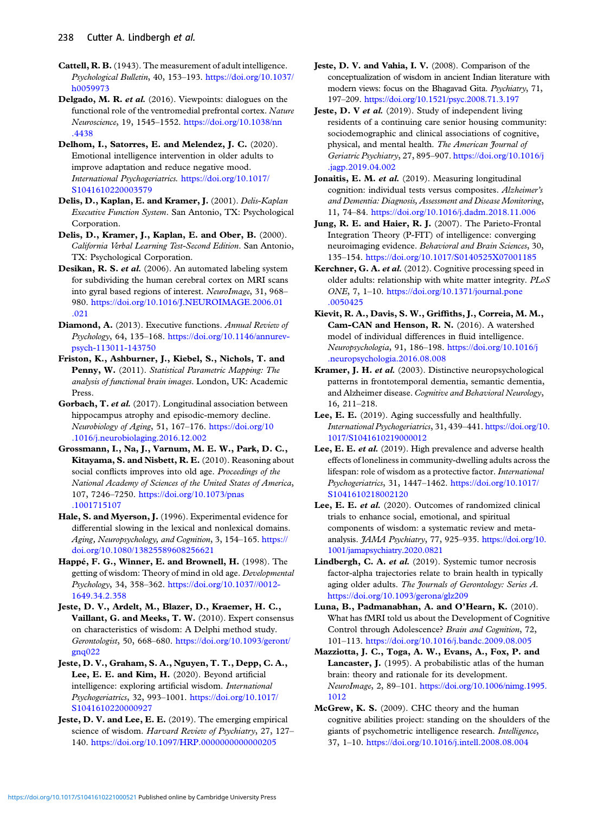- <span id="page-9-0"></span>Cattell, R. B.(1943). The measurement of adult intelligence. Psychological Bulletin, 40, 153–193. [https://doi.org/10.1037/](https://doi.org/10.1037/h0059973) [h0059973](https://doi.org/10.1037/h0059973)
- Delgado, M. R. et al. (2016). Viewpoints: dialogues on the functional role of the ventromedial prefrontal cortex. Nature Neuroscience, 19, 1545–1552. [https://doi.org/10.1038/nn](https://doi.org/10.1038/nn.4438) [.4438](https://doi.org/10.1038/nn.4438)
- Delhom, I., Satorres, E. and Melendez, J. C. (2020). Emotional intelligence intervention in older adults to improve adaptation and reduce negative mood. International Psychogeriatrics. [https://doi.org/10.1017/](https://doi.org/10.1017/S1041610220003579) [S1041610220003579](https://doi.org/10.1017/S1041610220003579)
- Delis, D., Kaplan, E. and Kramer, J. (2001). Delis-Kaplan Executive Function System. San Antonio, TX: Psychological Corporation.
- Delis, D., Kramer, J., Kaplan, E. and Ober, B. (2000). California Verbal Learning Test-Second Edition. San Antonio, TX: Psychological Corporation.
- Desikan, R. S. et al. (2006). An automated labeling system for subdividing the human cerebral cortex on MRI scans into gyral based regions of interest. NeuroImage, 31, 968– 980. [https://doi.org/10.1016/J.NEUROIMAGE.2006.01](https://doi.org/10.1016/J.NEUROIMAGE.2006.01.021) [.021](https://doi.org/10.1016/J.NEUROIMAGE.2006.01.021)
- Diamond, A. (2013). Executive functions. Annual Review of Psychology, 64, 135–168. [https://doi.org/10.1146/annurev](https://doi.org/10.1146/annurev-psych-113011-143750)[psych-113011-143750](https://doi.org/10.1146/annurev-psych-113011-143750)
- Friston, K., Ashburner, J., Kiebel, S., Nichols, T. and Penny, W. (2011). Statistical Parametric Mapping: The analysis of functional brain images. London, UK: Academic Press.
- Gorbach, T. et al. (2017). Longitudinal association between hippocampus atrophy and episodic-memory decline. Neurobiology of Aging, 51, 167–176. [https://doi.org/10](https://doi.org/10.1016/j.neurobiolaging.2016.12.002) [.1016/j.neurobiolaging.2016.12.002](https://doi.org/10.1016/j.neurobiolaging.2016.12.002)
- Grossmann, I., Na, J., Varnum, M. E. W., Park, D. C., Kitayama, S. and Nisbett, R. E. (2010). Reasoning about social conflicts improves into old age. Proceedings of the National Academy of Sciences of the United States of America, 107, 7246–7250. [https://doi.org/10.1073/pnas](https://doi.org/10.1073/pnas.1001715107) [.1001715107](https://doi.org/10.1073/pnas.1001715107)
- Hale, S. and Myerson, J. (1996). Experimental evidence for differential slowing in the lexical and nonlexical domains. Aging, Neuropsychology, and Cognition, 3, 154–165. [https://](https://doi.org/10.1080/13825589608256621) [doi.org/10.1080/13825589608256621](https://doi.org/10.1080/13825589608256621)
- Happé, F. G., Winner, E. and Brownell, H. (1998). The getting of wisdom: Theory of mind in old age. Developmental Psychology, 34, 358–362. [https://doi.org/10.1037//0012-](https://doi.org/10.1037//0012-1649.34.2.358) [1649.34.2.358](https://doi.org/10.1037//0012-1649.34.2.358)
- Jeste, D. V., Ardelt, M., Blazer, D., Kraemer, H. C., Vaillant, G. and Meeks, T. W. (2010). Expert consensus on characteristics of wisdom: A Delphi method study. Gerontologist, 50, 668–680. [https://doi.org/10.1093/geront/](https://doi.org/10.1093/geront/gnq022) [gnq022](https://doi.org/10.1093/geront/gnq022)
- Jeste, D. V., Graham, S. A., Nguyen, T. T., Depp, C. A., Lee, E. E. and Kim, H. (2020). Beyond artificial intelligence: exploring artificial wisdom. International Psychogeriatrics, 32, 993–1001. [https://doi.org/10.1017/](https://doi.org/10.1017/S1041610220000927) [S1041610220000927](https://doi.org/10.1017/S1041610220000927)
- Jeste, D. V. and Lee, E. E. (2019). The emerging empirical science of wisdom. Harvard Review of Psychiatry, 27, 127-140. <https://doi.org/10.1097/HRP.0000000000000205>
- Jeste, D. V. and Vahia, I. V. (2008). Comparison of the conceptualization of wisdom in ancient Indian literature with modern views: focus on the Bhagavad Gita. Psychiatry, 71, 197–209. <https://doi.org/10.1521/psyc.2008.71.3.197>
- Jeste, D. V et al. (2019). Study of independent living residents of a continuing care senior housing community: sociodemographic and clinical associations of cognitive, physical, and mental health. The American Journal of Geriatric Psychiatry, 27, 895–907. [https://doi.org/10.1016/j](https://doi.org/10.1016/j.jagp.2019.04.002) [.jagp.2019.04.002](https://doi.org/10.1016/j.jagp.2019.04.002)
- Jonaitis, E. M. et al. (2019). Measuring longitudinal cognition: individual tests versus composites. Alzheimer's and Dementia: Diagnosis, Assessment and Disease Monitoring, 11, 74–84. <https://doi.org/10.1016/j.dadm.2018.11.006>
- Jung, R. E. and Haier, R. J. (2007). The Parieto-Frontal Integration Theory (P-FIT) of intelligence: converging neuroimaging evidence. Behavioral and Brain Sciences, 30, 135–154. <https://doi.org/10.1017/S0140525X07001185>
- Kerchner, G. A. et al. (2012). Cognitive processing speed in older adults: relationship with white matter integrity. PLoS ONE, 7, 1–10. [https://doi.org/10.1371/journal.pone](https://doi.org/10.1371/journal.pone.0050425) [.0050425](https://doi.org/10.1371/journal.pone.0050425)
- Kievit, R. A., Davis, S. W., Griffiths, J., Correia, M. M., Cam-CAN and Henson, R. N. (2016). A watershed model of individual differences in fluid intelligence. Neuropsychologia, 91, 186–198. [https://doi.org/10.1016/j](https://doi.org/10.1016/j.neuropsychologia.2016.08.008) [.neuropsychologia.2016.08.008](https://doi.org/10.1016/j.neuropsychologia.2016.08.008)
- Kramer, J. H. et al. (2003). Distinctive neuropsychological patterns in frontotemporal dementia, semantic dementia, and Alzheimer disease. Cognitive and Behavioral Neurology, 16, 211–218.
- Lee, E. E. (2019). Aging successfully and healthfully. International Psychogeriatrics, 31, 439–441. [https://doi.org/10.](https://doi.org/10.1017/S1041610219000012) [1017/S1041610219000012](https://doi.org/10.1017/S1041610219000012)
- Lee, E. E. et al. (2019). High prevalence and adverse health effects of loneliness in community-dwelling adults across the lifespan: role of wisdom as a protective factor. International Psychogeriatrics, 31, 1447–1462. [https://doi.org/10.1017/](https://doi.org/10.1017/S1041610218002120) [S1041610218002120](https://doi.org/10.1017/S1041610218002120)
- Lee, E. E. et al. (2020). Outcomes of randomized clinical trials to enhance social, emotional, and spiritual components of wisdom: a systematic review and metaanalysis. JAMA Psychiatry, 77, 925–935. [https://doi.org/10.](https://doi.org/10.1001/jamapsychiatry.2020.0821) [1001/jamapsychiatry.2020.0821](https://doi.org/10.1001/jamapsychiatry.2020.0821)
- Lindbergh, C. A. et al. (2019). Systemic tumor necrosis factor-alpha trajectories relate to brain health in typically aging older adults. The Journals of Gerontology: Series A. <https://doi.org/10.1093/gerona/glz209>
- Luna, B., Padmanabhan, A. and O'Hearn, K. (2010). What has fMRI told us about the Development of Cognitive Control through Adolescence? Brain and Cognition, 72, 101–113. <https://doi.org/10.1016/j.bandc.2009.08.005>
- Mazziotta, J. C., Toga, A. W., Evans, A., Fox, P. and Lancaster, J. (1995). A probabilistic atlas of the human brain: theory and rationale for its development. NeuroImage, 2, 89–101. [https://doi.org/10.1006/nimg.1995.](https://doi.org/10.1006/nimg.1995.1012) [1012](https://doi.org/10.1006/nimg.1995.1012)
- McGrew, K. S. (2009). CHC theory and the human cognitive abilities project: standing on the shoulders of the giants of psychometric intelligence research. Intelligence, 37, 1–10. <https://doi.org/10.1016/j.intell.2008.08.004>